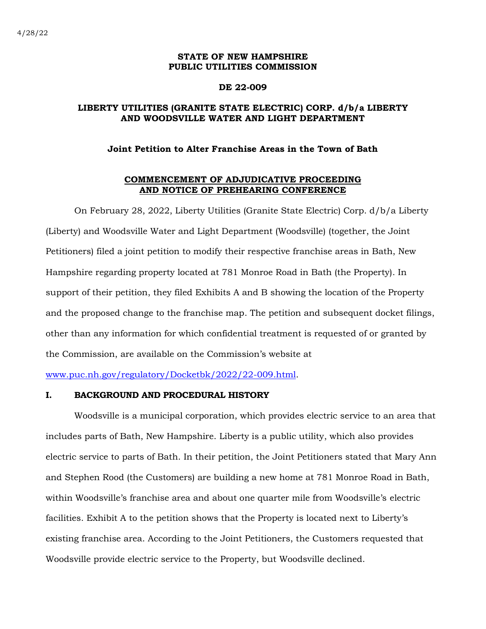#### **STATE OF NEW HAMPSHIRE PUBLIC UTILITIES COMMISSION**

#### **DE 22-009**

# **LIBERTY UTILITIES (GRANITE STATE ELECTRIC) CORP. d/b/a LIBERTY AND WOODSVILLE WATER AND LIGHT DEPARTMENT**

## **Joint Petition to Alter Franchise Areas in the Town of Bath**

#### **COMMENCEMENT OF ADJUDICATIVE PROCEEDING AND NOTICE OF PREHEARING CONFERENCE**

On February 28, 2022, Liberty Utilities (Granite State Electric) Corp. d/b/a Liberty (Liberty) and Woodsville Water and Light Department (Woodsville) (together, the Joint Petitioners) filed a joint petition to modify their respective franchise areas in Bath, New Hampshire regarding property located at 781 Monroe Road in Bath (the Property). In support of their petition, they filed Exhibits A and B showing the location of the Property and the proposed change to the franchise map. The petition and subsequent docket filings, other than any information for which confidential treatment is requested of or granted by the Commission, are available on the Commission's website at

[www.puc.nh.gov/regulatory/Docketbk/2022/22-009.html.](http://www.puc.nh.gov/regulatory/Docketbk/2022/22-009.html)

## **I. BACKGROUND AND PROCEDURAL HISTORY**

Woodsville is a municipal corporation, which provides electric service to an area that includes parts of Bath, New Hampshire. Liberty is a public utility, which also provides electric service to parts of Bath. In their petition, the Joint Petitioners stated that Mary Ann and Stephen Rood (the Customers) are building a new home at 781 Monroe Road in Bath, within Woodsville's franchise area and about one quarter mile from Woodsville's electric facilities. Exhibit A to the petition shows that the Property is located next to Liberty's existing franchise area. According to the Joint Petitioners, the Customers requested that Woodsville provide electric service to the Property, but Woodsville declined.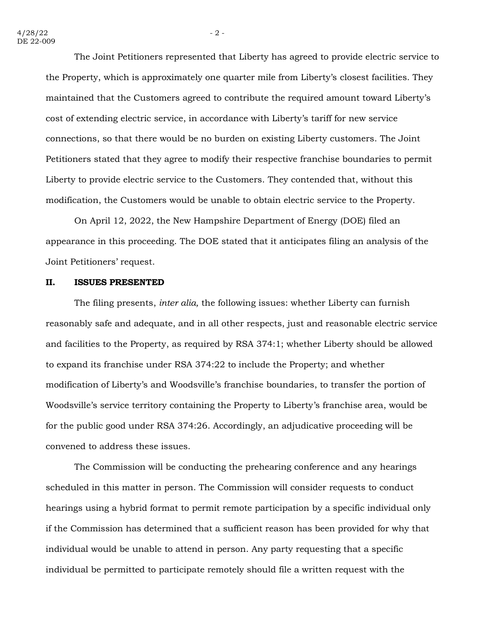The Joint Petitioners represented that Liberty has agreed to provide electric service to the Property, which is approximately one quarter mile from Liberty's closest facilities. They maintained that the Customers agreed to contribute the required amount toward Liberty's cost of extending electric service, in accordance with Liberty's tariff for new service connections, so that there would be no burden on existing Liberty customers. The Joint Petitioners stated that they agree to modify their respective franchise boundaries to permit Liberty to provide electric service to the Customers. They contended that, without this modification, the Customers would be unable to obtain electric service to the Property.

On April 12, 2022, the New Hampshire Department of Energy (DOE) filed an appearance in this proceeding. The DOE stated that it anticipates filing an analysis of the Joint Petitioners' request.

#### **II. ISSUES PRESENTED**

The filing presents, *inter alia,* the following issues: whether Liberty can furnish reasonably safe and adequate, and in all other respects, just and reasonable electric service and facilities to the Property, as required by RSA 374:1; whether Liberty should be allowed to expand its franchise under RSA 374:22 to include the Property; and whether modification of Liberty's and Woodsville's franchise boundaries, to transfer the portion of Woodsville's service territory containing the Property to Liberty's franchise area, would be for the public good under RSA 374:26. Accordingly, an adjudicative proceeding will be convened to address these issues.

The Commission will be conducting the prehearing conference and any hearings scheduled in this matter in person. The Commission will consider requests to conduct hearings using a hybrid format to permit remote participation by a specific individual only if the Commission has determined that a sufficient reason has been provided for why that individual would be unable to attend in person. Any party requesting that a specific individual be permitted to participate remotely should file a written request with the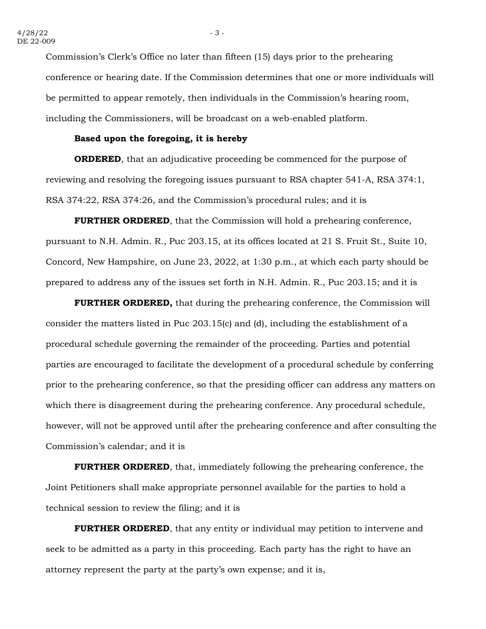Commission's Clerk's Office no later than fifteen (15) days prior to the prehearing conference or hearing date. If the Commission determines that one or more individuals will be permitted to appear remotely, then individuals in the Commission's hearing room, including the Commissioners, will be broadcast on a web-enabled platform.

#### **Based upon the foregoing, it is hereby**

**ORDERED**, that an adjudicative proceeding be commenced for the purpose of reviewing and resolving the foregoing issues pursuant to RSA chapter 541-A, RSA 374:1, RSA 374:22, RSA 374:26, and the Commission's procedural rules; and it is

**FURTHER ORDERED**, that the Commission will hold a prehearing conference, pursuant to N.H. Admin. R., Puc 203.15, at its offices located at 21 S. Fruit St., Suite 10, Concord, New Hampshire, on June 23, 2022, at 1:30 p.m., at which each party should be prepared to address any of the issues set forth in N.H. Admin. R., Puc 203.15; and it is

**FURTHER ORDERED,** that during the prehearing conference, the Commission will consider the matters listed in Puc 203.15(c) and (d), including the establishment of a procedural schedule governing the remainder of the proceeding. Parties and potential parties are encouraged to facilitate the development of a procedural schedule by conferring prior to the prehearing conference, so that the presiding officer can address any matters on which there is disagreement during the prehearing conference. Any procedural schedule, however, will not be approved until after the prehearing conference and after consulting the Commission's calendar; and it is

**FURTHER ORDERED**, that, immediately following the prehearing conference, the Joint Petitioners shall make appropriate personnel available for the parties to hold a technical session to review the filing; and it is

**FURTHER ORDERED**, that any entity or individual may petition to intervene and seek to be admitted as a party in this proceeding. Each party has the right to have an attorney represent the party at the party's own expense; and it is,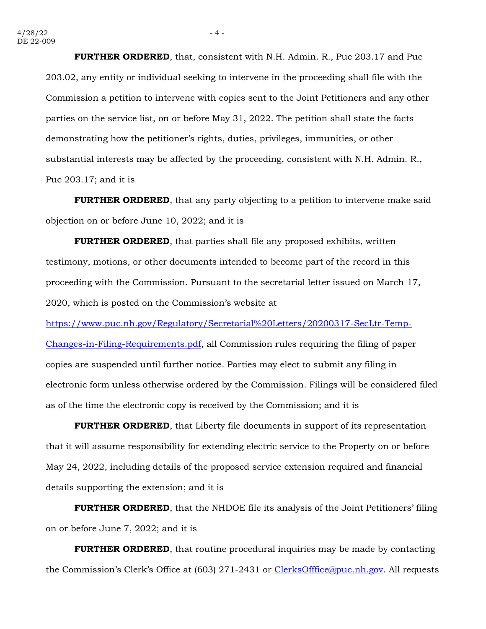**FURTHER ORDERED**, that, consistent with N.H. Admin. R., Puc 203.17 and Puc 203.02, any entity or individual seeking to intervene in the proceeding shall file with the Commission a petition to intervene with copies sent to the Joint Petitioners and any other parties on the service list, on or before May 31, 2022. The petition shall state the facts demonstrating how the petitioner's rights, duties, privileges, immunities, or other substantial interests may be affected by the proceeding, consistent with N.H. Admin. R., Puc 203.17; and it is

**FURTHER ORDERED**, that any party objecting to a petition to intervene make said objection on or before June 10, 2022; and it is

**FURTHER ORDERED**, that parties shall file any proposed exhibits, written testimony, motions, or other documents intended to become part of the record in this proceeding with the Commission. Pursuant to the secretarial letter issued on March 17, 2020, which is posted on the Commission's website at

[https://www.puc.nh.gov/Regulatory/Secretarial%20Letters/20200317-SecLtr-Temp-](https://www.puc.nh.gov/Regulatory/Secretarial%20Letters/20200317-SecLtr-Temp-Changes-in-Filing-Requirements.pdf)[Changes-in-Filing-Requirements.pdf,](https://www.puc.nh.gov/Regulatory/Secretarial%20Letters/20200317-SecLtr-Temp-Changes-in-Filing-Requirements.pdf) all Commission rules requiring the filing of paper copies are suspended until further notice. Parties may elect to submit any filing in electronic form unless otherwise ordered by the Commission. Filings will be considered filed as of the time the electronic copy is received by the Commission; and it is

**FURTHER ORDERED**, that Liberty file documents in support of its representation that it will assume responsibility for extending electric service to the Property on or before May 24, 2022, including details of the proposed service extension required and financial details supporting the extension; and it is

**FURTHER ORDERED**, that the NHDOE file its analysis of the Joint Petitioners' filing on or before June 7, 2022; and it is

**FURTHER ORDERED**, that routine procedural inquiries may be made by contacting the Commission's Clerk's Office at (603) 271-2431 or [ClerksOfffice@puc.nh.gov.](mailto:ClerksOfffice@puc.nh.gov) All requests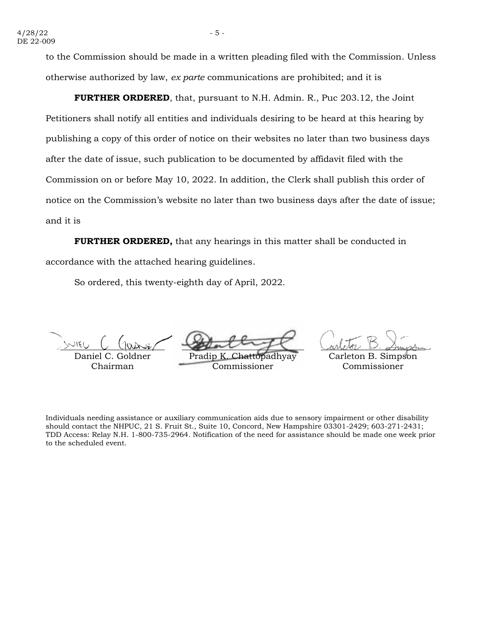to the Commission should be made in a written pleading filed with the Commission. Unless otherwise authorized by law, *ex parte* communications are prohibited; and it is

**FURTHER ORDERED**, that, pursuant to N.H. Admin. R., Puc 203.12, the Joint Petitioners shall notify all entities and individuals desiring to be heard at this hearing by publishing a copy of this order of notice on their websites no later than two business days after the date of issue, such publication to be documented by affidavit filed with the Commission on or before May 10, 2022. In addition, the Clerk shall publish this order of notice on the Commission's website no later than two business days after the date of issue; and it is

**FURTHER ORDERED,** that any hearings in this matter shall be conducted in accordance with the attached hearing guidelines.

So ordered, this twenty-eighth day of April, 2022.

Daniel C. Goldner Chairman

Pradip K. Chattopadhyay

Commissioner

Carleton B. Simpson Commissioner

Individuals needing assistance or auxiliary communication aids due to sensory impairment or other disability should contact the NHPUC, 21 S. Fruit St., Suite 10, Concord, New Hampshire 03301-2429; 603-271-2431; TDD Access: Relay N.H. 1-800-735-2964. Notification of the need for assistance should be made one week prior to the scheduled event.